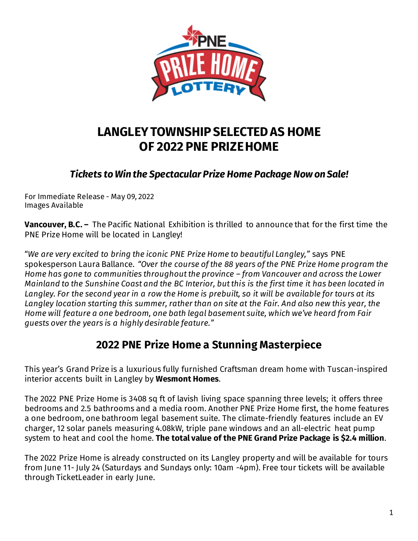

# **LANGLEY TOWNSHIP SELECTED AS HOME OF 2022 PNE PRIZE HOME**

### *Tickets to Win the Spectacular Prize Home Package Now on Sale!*

For Immediate Release - May 09, 2022 Images Available

**Vancouver, B.C. –** The Pacific National Exhibition is thrilled to announce that for the first time the PNE Prize Home will be located in Langley!

"*We are very excited to bring the iconic PNE Prize Home to beautiful Langley,"* says PNE spokesperson Laura Ballance. *"Over the course of the 88 years of the PNE Prize Home program the Home has gone to communities throughout the province – from Vancouver and across the Lower Mainland to the Sunshine Coast and the BC Interior, but this is the first time it has been located in Langley. For the second year in a row the Home is prebuilt, so it will be available for tours at its Langley location starting this summer, rather than on site at the Fair. And also new this year, the Home will feature a one bedroom, one bath legal basement suite, which we've heard from Fair guests over the years is a highly desirable feature."*

### **2022 PNE Prize Home a Stunning Masterpiece**

This year's Grand Prize is a luxurious fully furnished Craftsman dream home with Tuscan-inspired interior accents built in Langley by **Wesmont Homes**.

The 2022 PNE Prize Home is 3408 sq ft of lavish living space spanning three levels; it offers three bedrooms and 2.5 bathrooms and a media room. Another PNE Prize Home first, the home features a one bedroom, one bathroom legal basement suite. The climate-friendly features include an EV charger, 12 solar panels measuring 4.08kW, triple pane windows and an all-electric heat pump system to heat and cool the home. **The total value of the PNE Grand Prize Package is \$2.4 million**.

The 2022 Prize Home is already constructed on its Langley property and will be available for tours from June 11- July 24 (Saturdays and Sundays only: 10am -4pm). Free tour tickets will be available through TicketLeader in early June.